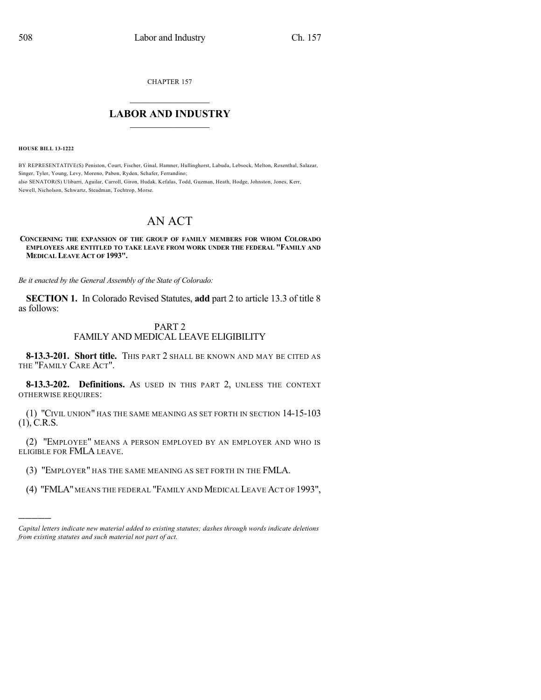CHAPTER 157

## $\mathcal{L}_\text{max}$  . The set of the set of the set of the set of the set of the set of the set of the set of the set of the set of the set of the set of the set of the set of the set of the set of the set of the set of the set **LABOR AND INDUSTRY**  $\frac{1}{\sqrt{2}}$  ,  $\frac{1}{\sqrt{2}}$  ,  $\frac{1}{\sqrt{2}}$  ,  $\frac{1}{\sqrt{2}}$  ,  $\frac{1}{\sqrt{2}}$  ,  $\frac{1}{\sqrt{2}}$

**HOUSE BILL 13-1222**

)))))

BY REPRESENTATIVE(S) Peniston, Court, Fischer, Ginal, Hamner, Hullinghorst, Labuda, Lebsock, Melton, Rosenthal, Salazar, Singer, Tyler, Young, Levy, Moreno, Pabon, Ryden, Schafer, Ferrandino; also SENATOR(S) Ulibarri, Aguilar, Carroll, Giron, Hudak, Kefalas, Todd, Guzman, Heath, Hodge, Johnston, Jones, Kerr, Newell, Nicholson, Schwartz, Steadman, Tochtrop, Morse.

# AN ACT

#### **CONCERNING THE EXPANSION OF THE GROUP OF FAMILY MEMBERS FOR WHOM COLORADO EMPLOYEES ARE ENTITLED TO TAKE LEAVE FROM WORK UNDER THE FEDERAL "FAMILY AND MEDICAL LEAVE ACT OF 1993".**

*Be it enacted by the General Assembly of the State of Colorado:*

**SECTION 1.** In Colorado Revised Statutes, **add** part 2 to article 13.3 of title 8 as follows:

### PART 2

### FAMILY AND MEDICAL LEAVE ELIGIBILITY

**8-13.3-201. Short title.** THIS PART 2 SHALL BE KNOWN AND MAY BE CITED AS THE "FAMILY CARE ACT".

**8-13.3-202. Definitions.** AS USED IN THIS PART 2, UNLESS THE CONTEXT OTHERWISE REQUIRES:

(1) "CIVIL UNION" HAS THE SAME MEANING AS SET FORTH IN SECTION 14-15-103  $(1)$ , C.R.S.

(2) "EMPLOYEE" MEANS A PERSON EMPLOYED BY AN EMPLOYER AND WHO IS ELIGIBLE FOR FMLA LEAVE.

- (3) "EMPLOYER" HAS THE SAME MEANING AS SET FORTH IN THE FMLA.
- (4) "FMLA" MEANS THE FEDERAL "FAMILY AND MEDICAL LEAVE ACT OF 1993",

*Capital letters indicate new material added to existing statutes; dashes through words indicate deletions from existing statutes and such material not part of act.*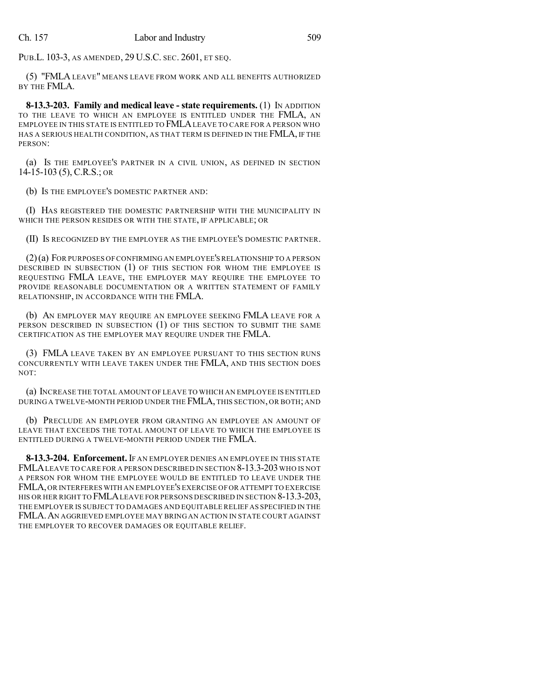PUB.L. 103-3, AS AMENDED, 29 U.S.C. SEC. 2601, ET SEQ.

(5) "FMLA LEAVE" MEANS LEAVE FROM WORK AND ALL BENEFITS AUTHORIZED BY THE FMLA.

**8-13.3-203. Family and medical leave - state requirements.** (1) IN ADDITION TO THE LEAVE TO WHICH AN EMPLOYEE IS ENTITLED UNDER THE FMLA, AN EMPLOYEE IN THIS STATE IS ENTITLED TO FMLALEAVE TO CARE FOR A PERSON WHO HAS A SERIOUS HEALTH CONDITION, AS THAT TERM IS DEFINED IN THE FMLA, IF THE PERSON:

(a) IS THE EMPLOYEE'S PARTNER IN A CIVIL UNION, AS DEFINED IN SECTION 14-15-103 (5), C.R.S.; OR

(b) IS THE EMPLOYEE'S DOMESTIC PARTNER AND:

(I) HAS REGISTERED THE DOMESTIC PARTNERSHIP WITH THE MUNICIPALITY IN WHICH THE PERSON RESIDES OR WITH THE STATE, IF APPLICABLE; OR

(II) IS RECOGNIZED BY THE EMPLOYER AS THE EMPLOYEE'S DOMESTIC PARTNER.

(2)(a) FOR PURPOSES OF CONFIRMING AN EMPLOYEE'SRELATIONSHIP TO A PERSON DESCRIBED IN SUBSECTION (1) OF THIS SECTION FOR WHOM THE EMPLOYEE IS REQUESTING FMLA LEAVE, THE EMPLOYER MAY REQUIRE THE EMPLOYEE TO PROVIDE REASONABLE DOCUMENTATION OR A WRITTEN STATEMENT OF FAMILY RELATIONSHIP, IN ACCORDANCE WITH THE FMLA.

(b) AN EMPLOYER MAY REQUIRE AN EMPLOYEE SEEKING FMLA LEAVE FOR A PERSON DESCRIBED IN SUBSECTION (1) OF THIS SECTION TO SUBMIT THE SAME CERTIFICATION AS THE EMPLOYER MAY REQUIRE UNDER THE FMLA.

(3) FMLA LEAVE TAKEN BY AN EMPLOYEE PURSUANT TO THIS SECTION RUNS CONCURRENTLY WITH LEAVE TAKEN UNDER THE FMLA, AND THIS SECTION DOES NOT:

(a) INCREASE THE TOTAL AMOUNT OF LEAVE TO WHICH AN EMPLOYEE IS ENTITLED DURING A TWELVE-MONTH PERIOD UNDER THE FMLA, THIS SECTION, OR BOTH; AND

(b) PRECLUDE AN EMPLOYER FROM GRANTING AN EMPLOYEE AN AMOUNT OF LEAVE THAT EXCEEDS THE TOTAL AMOUNT OF LEAVE TO WHICH THE EMPLOYEE IS ENTITLED DURING A TWELVE-MONTH PERIOD UNDER THE FMLA.

**8-13.3-204. Enforcement.** IF AN EMPLOYER DENIES AN EMPLOYEE IN THIS STATE FMLALEAVE TO CARE FOR A PERSON DESCRIBED IN SECTION 8-13.3-203 WHO IS NOT A PERSON FOR WHOM THE EMPLOYEE WOULD BE ENTITLED TO LEAVE UNDER THE FMLA,OR INTERFERES WITH AN EMPLOYEE'S EXERCISE OF OR ATTEMPT TO EXERCISE HIS OR HER RIGHT TO FMLALEAVE FOR PERSONS DESCRIBED IN SECTION 8-13.3-203, THE EMPLOYER IS SUBJECT TO DAMAGES AND EQUITABLE RELIEF AS SPECIFIED IN THE FMLA.AN AGGRIEVED EMPLOYEE MAY BRING AN ACTION IN STATE COURT AGAINST THE EMPLOYER TO RECOVER DAMAGES OR EQUITABLE RELIEF.